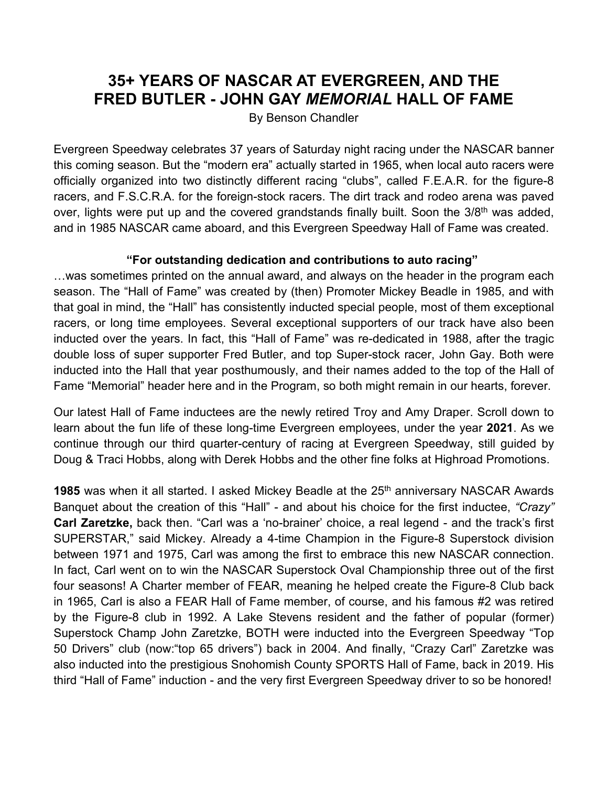## **35+ YEARS OF NASCAR AT EVERGREEN, AND THE FRED BUTLER - JOHN GAY** *MEMORIAL* **HALL OF FAME**

By Benson Chandler

Evergreen Speedway celebrates 37 years of Saturday night racing under the NASCAR banner this coming season. But the "modern era" actually started in 1965, when local auto racers were officially organized into two distinctly different racing "clubs", called F.E.A.R. for the figure-8 racers, and F.S.C.R.A. for the foreign-stock racers. The dirt track and rodeo arena was paved over, lights were put up and the covered grandstands finally built. Soon the 3/8<sup>th</sup> was added, and in 1985 NASCAR came aboard, and this Evergreen Speedway Hall of Fame was created.

## **"For outstanding dedication and contributions to auto racing"**

…was sometimes printed on the annual award, and always on the header in the program each season. The "Hall of Fame" was created by (then) Promoter Mickey Beadle in 1985, and with that goal in mind, the "Hall" has consistently inducted special people, most of them exceptional racers, or long time employees. Several exceptional supporters of our track have also been inducted over the years. In fact, this "Hall of Fame" was re-dedicated in 1988, after the tragic double loss of super supporter Fred Butler, and top Super-stock racer, John Gay. Both were inducted into the Hall that year posthumously, and their names added to the top of the Hall of Fame "Memorial" header here and in the Program, so both might remain in our hearts, forever.

Our latest Hall of Fame inductees are the newly retired Troy and Amy Draper. Scroll down to learn about the fun life of these long-time Evergreen employees, under the year **2021**. As we continue through our third quarter-century of racing at Evergreen Speedway, still guided by Doug & Traci Hobbs, along with Derek Hobbs and the other fine folks at Highroad Promotions.

**1985** was when it all started. I asked Mickey Beadle at the 25<sup>th</sup> anniversary NASCAR Awards Banquet about the creation of this "Hall" - and about his choice for the first inductee, *"Crazy"* **Carl Zaretzke,** back then. "Carl was a 'no-brainer' choice, a real legend - and the track's first SUPERSTAR," said Mickey. Already a 4-time Champion in the Figure-8 Superstock division between 1971 and 1975, Carl was among the first to embrace this new NASCAR connection. In fact, Carl went on to win the NASCAR Superstock Oval Championship three out of the first four seasons! A Charter member of FEAR, meaning he helped create the Figure-8 Club back in 1965, Carl is also a FEAR Hall of Fame member, of course, and his famous #2 was retired by the Figure-8 club in 1992. A Lake Stevens resident and the father of popular (former) Superstock Champ John Zaretzke, BOTH were inducted into the Evergreen Speedway "Top 50 Drivers" club (now:"top 65 drivers") back in 2004. And finally, "Crazy Carl" Zaretzke was also inducted into the prestigious Snohomish County SPORTS Hall of Fame, back in 2019. His third "Hall of Fame" induction - and the very first Evergreen Speedway driver to so be honored!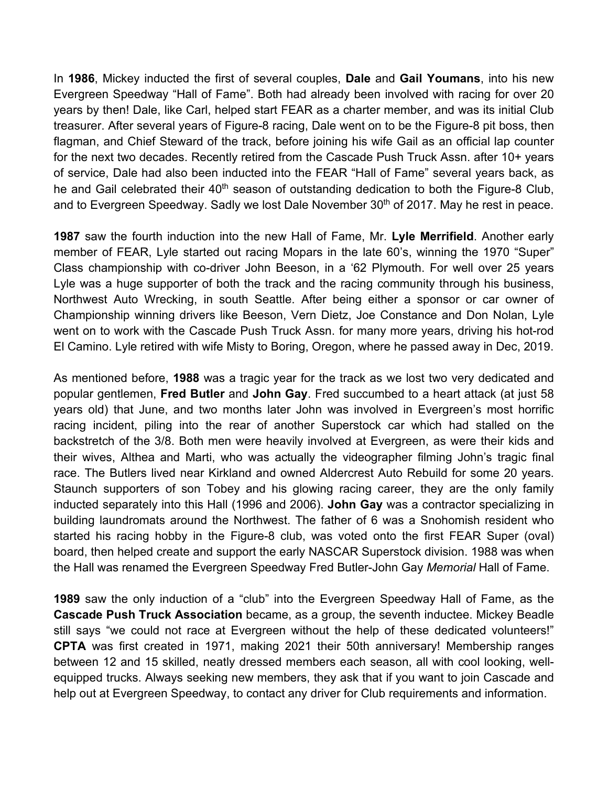In **1986**, Mickey inducted the first of several couples, **Dale** and **Gail Youmans**, into his new Evergreen Speedway "Hall of Fame". Both had already been involved with racing for over 20 years by then! Dale, like Carl, helped start FEAR as a charter member, and was its initial Club treasurer. After several years of Figure-8 racing, Dale went on to be the Figure-8 pit boss, then flagman, and Chief Steward of the track, before joining his wife Gail as an official lap counter for the next two decades. Recently retired from the Cascade Push Truck Assn. after 10+ years of service, Dale had also been inducted into the FEAR "Hall of Fame" several years back, as he and Gail celebrated their 40<sup>th</sup> season of outstanding dedication to both the Figure-8 Club, and to Evergreen Speedway. Sadly we lost Dale November 30<sup>th</sup> of 2017. May he rest in peace.

**1987** saw the fourth induction into the new Hall of Fame, Mr. **Lyle Merrifield**. Another early member of FEAR, Lyle started out racing Mopars in the late 60's, winning the 1970 "Super" Class championship with co-driver John Beeson, in a '62 Plymouth. For well over 25 years Lyle was a huge supporter of both the track and the racing community through his business, Northwest Auto Wrecking, in south Seattle. After being either a sponsor or car owner of Championship winning drivers like Beeson, Vern Dietz, Joe Constance and Don Nolan, Lyle went on to work with the Cascade Push Truck Assn. for many more years, driving his hot-rod El Camino. Lyle retired with wife Misty to Boring, Oregon, where he passed away in Dec, 2019.

As mentioned before, **1988** was a tragic year for the track as we lost two very dedicated and popular gentlemen, **Fred Butler** and **John Gay**. Fred succumbed to a heart attack (at just 58 years old) that June, and two months later John was involved in Evergreen's most horrific racing incident, piling into the rear of another Superstock car which had stalled on the backstretch of the 3/8. Both men were heavily involved at Evergreen, as were their kids and their wives, Althea and Marti, who was actually the videographer filming John's tragic final race. The Butlers lived near Kirkland and owned Aldercrest Auto Rebuild for some 20 years. Staunch supporters of son Tobey and his glowing racing career, they are the only family inducted separately into this Hall (1996 and 2006). **John Gay** was a contractor specializing in building laundromats around the Northwest. The father of 6 was a Snohomish resident who started his racing hobby in the Figure-8 club, was voted onto the first FEAR Super (oval) board, then helped create and support the early NASCAR Superstock division. 1988 was when the Hall was renamed the Evergreen Speedway Fred Butler-John Gay *Memorial* Hall of Fame.

**1989** saw the only induction of a "club" into the Evergreen Speedway Hall of Fame, as the **Cascade Push Truck Association** became, as a group, the seventh inductee. Mickey Beadle still says "we could not race at Evergreen without the help of these dedicated volunteers!" **CPTA** was first created in 1971, making 2021 their 50th anniversary! Membership ranges between 12 and 15 skilled, neatly dressed members each season, all with cool looking, wellequipped trucks. Always seeking new members, they ask that if you want to join Cascade and help out at Evergreen Speedway, to contact any driver for Club requirements and information.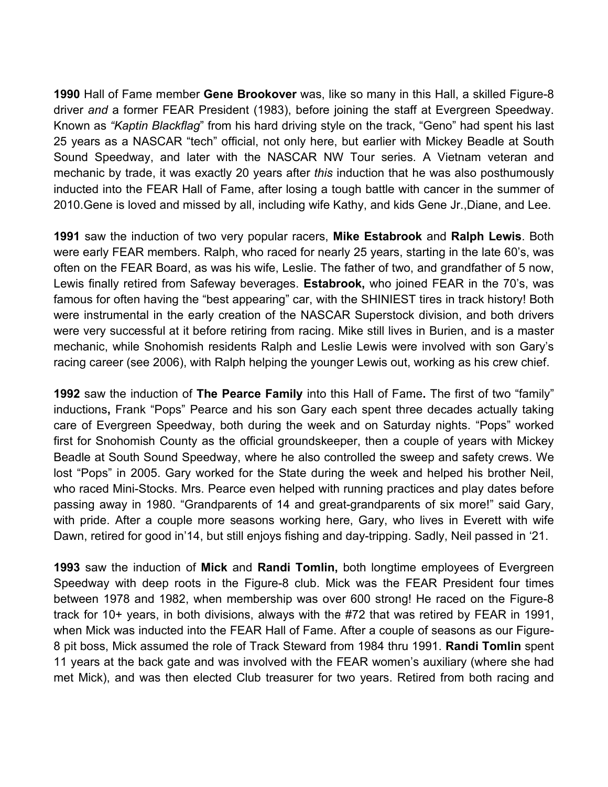**1990** Hall of Fame member **Gene Brookover** was, like so many in this Hall, a skilled Figure-8 driver *and* a former FEAR President (1983), before joining the staff at Evergreen Speedway. Known as *"Kaptin Blackflag*" from his hard driving style on the track, "Geno" had spent his last 25 years as a NASCAR "tech" official, not only here, but earlier with Mickey Beadle at South Sound Speedway, and later with the NASCAR NW Tour series. A Vietnam veteran and mechanic by trade, it was exactly 20 years after *this* induction that he was also posthumously inducted into the FEAR Hall of Fame, after losing a tough battle with cancer in the summer of 2010.Gene is loved and missed by all, including wife Kathy, and kids Gene Jr.,Diane, and Lee.

**1991** saw the induction of two very popular racers, **Mike Estabrook** and **Ralph Lewis**. Both were early FEAR members. Ralph, who raced for nearly 25 years, starting in the late 60's, was often on the FEAR Board, as was his wife, Leslie. The father of two, and grandfather of 5 now, Lewis finally retired from Safeway beverages. **Estabrook,** who joined FEAR in the 70's, was famous for often having the "best appearing" car, with the SHINIEST tires in track history! Both were instrumental in the early creation of the NASCAR Superstock division, and both drivers were very successful at it before retiring from racing. Mike still lives in Burien, and is a master mechanic, while Snohomish residents Ralph and Leslie Lewis were involved with son Gary's racing career (see 2006), with Ralph helping the younger Lewis out, working as his crew chief.

**1992** saw the induction of **The Pearce Family** into this Hall of Fame**.** The first of two "family" inductions**,** Frank "Pops" Pearce and his son Gary each spent three decades actually taking care of Evergreen Speedway, both during the week and on Saturday nights. "Pops" worked first for Snohomish County as the official groundskeeper, then a couple of years with Mickey Beadle at South Sound Speedway, where he also controlled the sweep and safety crews. We lost "Pops" in 2005. Gary worked for the State during the week and helped his brother Neil, who raced Mini-Stocks. Mrs. Pearce even helped with running practices and play dates before passing away in 1980. "Grandparents of 14 and great-grandparents of six more!" said Gary, with pride. After a couple more seasons working here, Gary, who lives in Everett with wife Dawn, retired for good in'14, but still enjoys fishing and day-tripping. Sadly, Neil passed in '21.

**1993** saw the induction of **Mick** and **Randi Tomlin,** both longtime employees of Evergreen Speedway with deep roots in the Figure-8 club. Mick was the FEAR President four times between 1978 and 1982, when membership was over 600 strong! He raced on the Figure-8 track for 10+ years, in both divisions, always with the #72 that was retired by FEAR in 1991, when Mick was inducted into the FEAR Hall of Fame. After a couple of seasons as our Figure-8 pit boss, Mick assumed the role of Track Steward from 1984 thru 1991. **Randi Tomlin** spent 11 years at the back gate and was involved with the FEAR women's auxiliary (where she had met Mick), and was then elected Club treasurer for two years. Retired from both racing and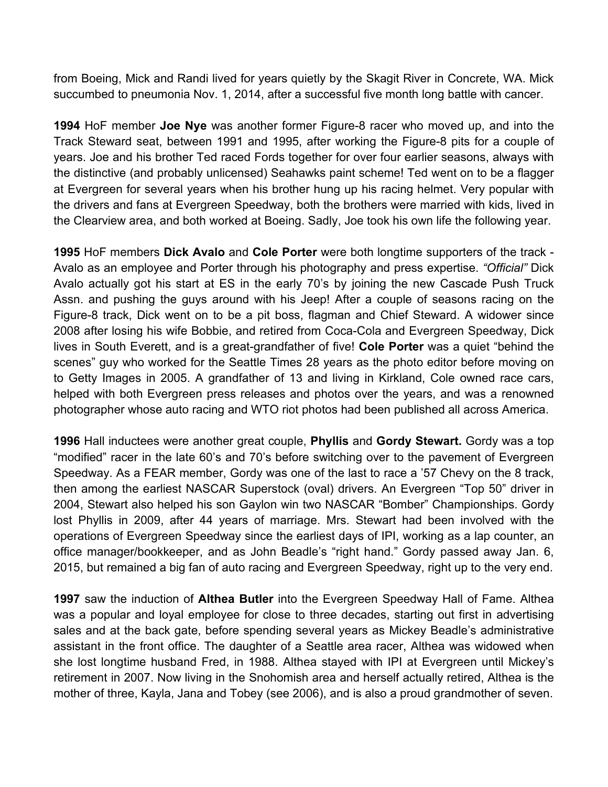from Boeing, Mick and Randi lived for years quietly by the Skagit River in Concrete, WA. Mick succumbed to pneumonia Nov. 1, 2014, after a successful five month long battle with cancer.

**1994** HoF member **Joe Nye** was another former Figure-8 racer who moved up, and into the Track Steward seat, between 1991 and 1995, after working the Figure-8 pits for a couple of years. Joe and his brother Ted raced Fords together for over four earlier seasons, always with the distinctive (and probably unlicensed) Seahawks paint scheme! Ted went on to be a flagger at Evergreen for several years when his brother hung up his racing helmet. Very popular with the drivers and fans at Evergreen Speedway, both the brothers were married with kids, lived in the Clearview area, and both worked at Boeing. Sadly, Joe took his own life the following year.

**1995** HoF members **Dick Avalo** and **Cole Porter** were both longtime supporters of the track - Avalo as an employee and Porter through his photography and press expertise. *"Official"* Dick Avalo actually got his start at ES in the early 70's by joining the new Cascade Push Truck Assn. and pushing the guys around with his Jeep! After a couple of seasons racing on the Figure-8 track, Dick went on to be a pit boss, flagman and Chief Steward. A widower since 2008 after losing his wife Bobbie, and retired from Coca-Cola and Evergreen Speedway, Dick lives in South Everett, and is a great-grandfather of five! **Cole Porter** was a quiet "behind the scenes" guy who worked for the Seattle Times 28 years as the photo editor before moving on to Getty Images in 2005. A grandfather of 13 and living in Kirkland, Cole owned race cars, helped with both Evergreen press releases and photos over the years, and was a renowned photographer whose auto racing and WTO riot photos had been published all across America.

**1996** Hall inductees were another great couple, **Phyllis** and **Gordy Stewart.** Gordy was a top "modified" racer in the late 60's and 70's before switching over to the pavement of Evergreen Speedway. As a FEAR member, Gordy was one of the last to race a '57 Chevy on the 8 track, then among the earliest NASCAR Superstock (oval) drivers. An Evergreen "Top 50" driver in 2004, Stewart also helped his son Gaylon win two NASCAR "Bomber" Championships. Gordy lost Phyllis in 2009, after 44 years of marriage. Mrs. Stewart had been involved with the operations of Evergreen Speedway since the earliest days of IPI, working as a lap counter, an office manager/bookkeeper, and as John Beadle's "right hand." Gordy passed away Jan. 6, 2015, but remained a big fan of auto racing and Evergreen Speedway, right up to the very end.

**1997** saw the induction of **Althea Butler** into the Evergreen Speedway Hall of Fame. Althea was a popular and loyal employee for close to three decades, starting out first in advertising sales and at the back gate, before spending several years as Mickey Beadle's administrative assistant in the front office. The daughter of a Seattle area racer, Althea was widowed when she lost longtime husband Fred, in 1988. Althea stayed with IPI at Evergreen until Mickey's retirement in 2007. Now living in the Snohomish area and herself actually retired, Althea is the mother of three, Kayla, Jana and Tobey (see 2006), and is also a proud grandmother of seven.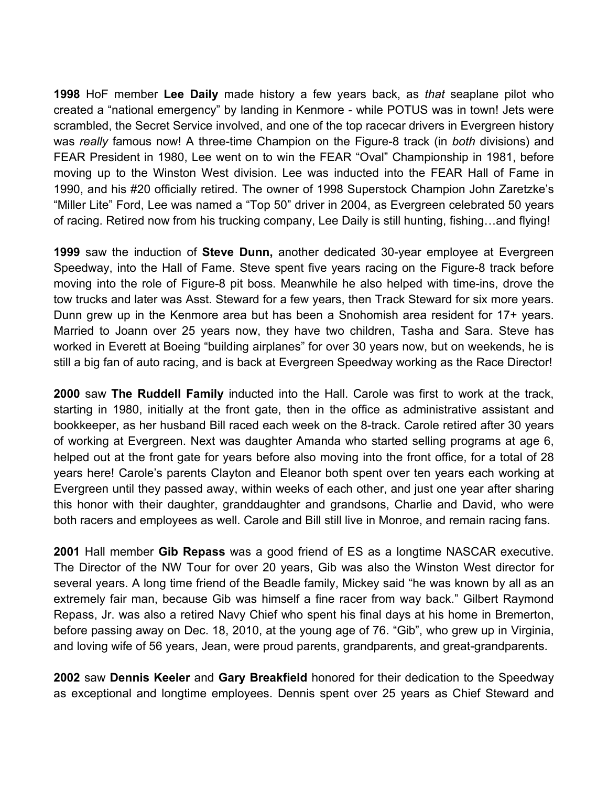**1998** HoF member **Lee Daily** made history a few years back, as *that* seaplane pilot who created a "national emergency" by landing in Kenmore - while POTUS was in town! Jets were scrambled, the Secret Service involved, and one of the top racecar drivers in Evergreen history was *really* famous now! A three-time Champion on the Figure-8 track (in *both* divisions) and FEAR President in 1980, Lee went on to win the FEAR "Oval" Championship in 1981, before moving up to the Winston West division. Lee was inducted into the FEAR Hall of Fame in 1990, and his #20 officially retired. The owner of 1998 Superstock Champion John Zaretzke's "Miller Lite" Ford, Lee was named a "Top 50" driver in 2004, as Evergreen celebrated 50 years of racing. Retired now from his trucking company, Lee Daily is still hunting, fishing…and flying!

**1999** saw the induction of **Steve Dunn,** another dedicated 30-year employee at Evergreen Speedway, into the Hall of Fame. Steve spent five years racing on the Figure-8 track before moving into the role of Figure-8 pit boss. Meanwhile he also helped with time-ins, drove the tow trucks and later was Asst. Steward for a few years, then Track Steward for six more years. Dunn grew up in the Kenmore area but has been a Snohomish area resident for 17+ years. Married to Joann over 25 years now, they have two children, Tasha and Sara. Steve has worked in Everett at Boeing "building airplanes" for over 30 years now, but on weekends, he is still a big fan of auto racing, and is back at Evergreen Speedway working as the Race Director!

**2000** saw **The Ruddell Family** inducted into the Hall. Carole was first to work at the track, starting in 1980, initially at the front gate, then in the office as administrative assistant and bookkeeper, as her husband Bill raced each week on the 8-track. Carole retired after 30 years of working at Evergreen. Next was daughter Amanda who started selling programs at age 6, helped out at the front gate for years before also moving into the front office, for a total of 28 years here! Carole's parents Clayton and Eleanor both spent over ten years each working at Evergreen until they passed away, within weeks of each other, and just one year after sharing this honor with their daughter, granddaughter and grandsons, Charlie and David, who were both racers and employees as well. Carole and Bill still live in Monroe, and remain racing fans.

**2001** Hall member **Gib Repass** was a good friend of ES as a longtime NASCAR executive. The Director of the NW Tour for over 20 years, Gib was also the Winston West director for several years. A long time friend of the Beadle family, Mickey said "he was known by all as an extremely fair man, because Gib was himself a fine racer from way back." Gilbert Raymond Repass, Jr. was also a retired Navy Chief who spent his final days at his home in Bremerton, before passing away on Dec. 18, 2010, at the young age of 76. "Gib", who grew up in Virginia, and loving wife of 56 years, Jean, were proud parents, grandparents, and great-grandparents.

**2002** saw **Dennis Keeler** and **Gary Breakfield** honored for their dedication to the Speedway as exceptional and longtime employees. Dennis spent over 25 years as Chief Steward and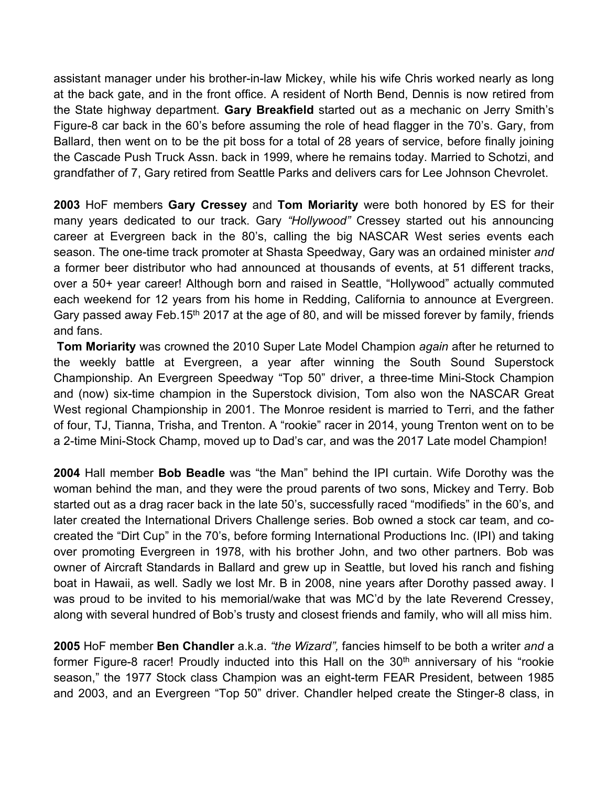assistant manager under his brother-in-law Mickey, while his wife Chris worked nearly as long at the back gate, and in the front office. A resident of North Bend, Dennis is now retired from the State highway department. **Gary Breakfield** started out as a mechanic on Jerry Smith's Figure-8 car back in the 60's before assuming the role of head flagger in the 70's. Gary, from Ballard, then went on to be the pit boss for a total of 28 years of service, before finally joining the Cascade Push Truck Assn. back in 1999, where he remains today. Married to Schotzi, and grandfather of 7, Gary retired from Seattle Parks and delivers cars for Lee Johnson Chevrolet.

**2003** HoF members **Gary Cressey** and **Tom Moriarity** were both honored by ES for their many years dedicated to our track. Gary *"Hollywood"* Cressey started out his announcing career at Evergreen back in the 80's, calling the big NASCAR West series events each season. The one-time track promoter at Shasta Speedway, Gary was an ordained minister *and* a former beer distributor who had announced at thousands of events, at 51 different tracks, over a 50+ year career! Although born and raised in Seattle, "Hollywood" actually commuted each weekend for 12 years from his home in Redding, California to announce at Evergreen. Gary passed away Feb.15<sup>th</sup> 2017 at the age of 80, and will be missed forever by family, friends and fans.

**Tom Moriarity** was crowned the 2010 Super Late Model Champion *again* after he returned to the weekly battle at Evergreen, a year after winning the South Sound Superstock Championship. An Evergreen Speedway "Top 50" driver, a three-time Mini-Stock Champion and (now) six-time champion in the Superstock division, Tom also won the NASCAR Great West regional Championship in 2001. The Monroe resident is married to Terri, and the father of four, TJ, Tianna, Trisha, and Trenton. A "rookie" racer in 2014, young Trenton went on to be a 2-time Mini-Stock Champ, moved up to Dad's car, and was the 2017 Late model Champion!

**2004** Hall member **Bob Beadle** was "the Man" behind the IPI curtain. Wife Dorothy was the woman behind the man, and they were the proud parents of two sons, Mickey and Terry. Bob started out as a drag racer back in the late 50's, successfully raced "modifieds" in the 60's, and later created the International Drivers Challenge series. Bob owned a stock car team, and cocreated the "Dirt Cup" in the 70's, before forming International Productions Inc. (IPI) and taking over promoting Evergreen in 1978, with his brother John, and two other partners. Bob was owner of Aircraft Standards in Ballard and grew up in Seattle, but loved his ranch and fishing boat in Hawaii, as well. Sadly we lost Mr. B in 2008, nine years after Dorothy passed away. I was proud to be invited to his memorial/wake that was MC'd by the late Reverend Cressey, along with several hundred of Bob's trusty and closest friends and family, who will all miss him.

**2005** HoF member **Ben Chandler** a.k.a. *"the Wizard",* fancies himself to be both a writer *and* a former Figure-8 racer! Proudly inducted into this Hall on the  $30<sup>th</sup>$  anniversary of his "rookie season," the 1977 Stock class Champion was an eight-term FEAR President, between 1985 and 2003, and an Evergreen "Top 50" driver. Chandler helped create the Stinger-8 class, in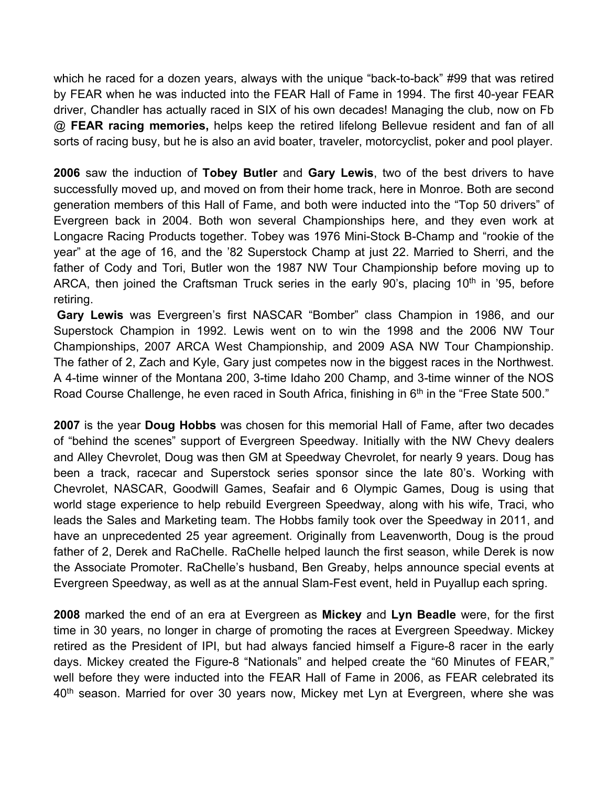which he raced for a dozen years, always with the unique "back-to-back" #99 that was retired by FEAR when he was inducted into the FEAR Hall of Fame in 1994. The first 40-year FEAR driver, Chandler has actually raced in SIX of his own decades! Managing the club, now on Fb @ **FEAR racing memories,** helps keep the retired lifelong Bellevue resident and fan of all sorts of racing busy, but he is also an avid boater, traveler, motorcyclist, poker and pool player.

**2006** saw the induction of **Tobey Butler** and **Gary Lewis**, two of the best drivers to have successfully moved up, and moved on from their home track, here in Monroe. Both are second generation members of this Hall of Fame, and both were inducted into the "Top 50 drivers" of Evergreen back in 2004. Both won several Championships here, and they even work at Longacre Racing Products together. Tobey was 1976 Mini-Stock B-Champ and "rookie of the year" at the age of 16, and the '82 Superstock Champ at just 22. Married to Sherri, and the father of Cody and Tori, Butler won the 1987 NW Tour Championship before moving up to ARCA, then joined the Craftsman Truck series in the early 90's, placing 10<sup>th</sup> in '95, before retiring.

**Gary Lewis** was Evergreen's first NASCAR "Bomber" class Champion in 1986, and our Superstock Champion in 1992. Lewis went on to win the 1998 and the 2006 NW Tour Championships, 2007 ARCA West Championship, and 2009 ASA NW Tour Championship. The father of 2, Zach and Kyle, Gary just competes now in the biggest races in the Northwest. A 4-time winner of the Montana 200, 3-time Idaho 200 Champ, and 3-time winner of the NOS Road Course Challenge, he even raced in South Africa, finishing in 6<sup>th</sup> in the "Free State 500."

**2007** is the year **Doug Hobbs** was chosen for this memorial Hall of Fame, after two decades of "behind the scenes" support of Evergreen Speedway. Initially with the NW Chevy dealers and Alley Chevrolet, Doug was then GM at Speedway Chevrolet, for nearly 9 years. Doug has been a track, racecar and Superstock series sponsor since the late 80's. Working with Chevrolet, NASCAR, Goodwill Games, Seafair and 6 Olympic Games, Doug is using that world stage experience to help rebuild Evergreen Speedway, along with his wife, Traci, who leads the Sales and Marketing team. The Hobbs family took over the Speedway in 2011, and have an unprecedented 25 year agreement. Originally from Leavenworth, Doug is the proud father of 2, Derek and RaChelle. RaChelle helped launch the first season, while Derek is now the Associate Promoter. RaChelle's husband, Ben Greaby, helps announce special events at Evergreen Speedway, as well as at the annual Slam-Fest event, held in Puyallup each spring.

**2008** marked the end of an era at Evergreen as **Mickey** and **Lyn Beadle** were, for the first time in 30 years, no longer in charge of promoting the races at Evergreen Speedway. Mickey retired as the President of IPI, but had always fancied himself a Figure-8 racer in the early days. Mickey created the Figure-8 "Nationals" and helped create the "60 Minutes of FEAR," well before they were inducted into the FEAR Hall of Fame in 2006, as FEAR celebrated its 40<sup>th</sup> season. Married for over 30 years now, Mickey met Lyn at Evergreen, where she was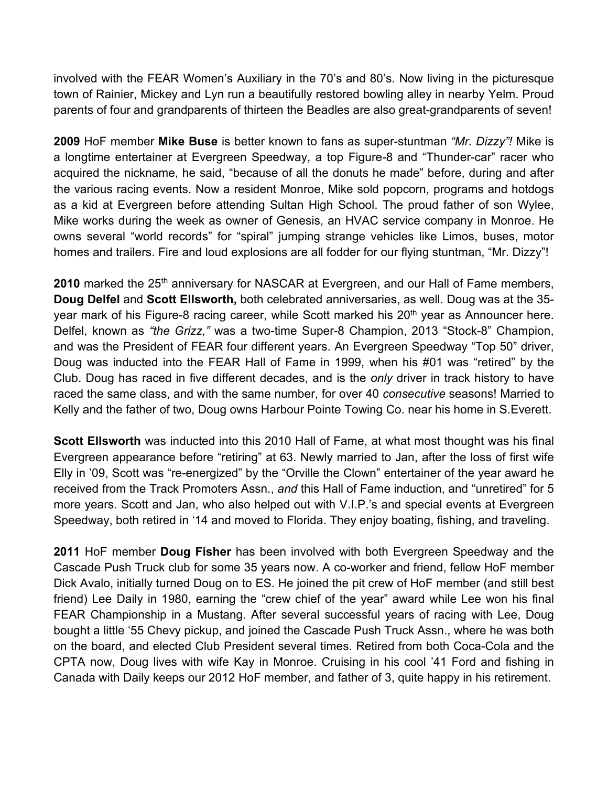involved with the FEAR Women's Auxiliary in the 70's and 80's. Now living in the picturesque town of Rainier, Mickey and Lyn run a beautifully restored bowling alley in nearby Yelm. Proud parents of four and grandparents of thirteen the Beadles are also great-grandparents of seven!

**2009** HoF member **Mike Buse** is better known to fans as super-stuntman *"Mr. Dizzy"!* Mike is a longtime entertainer at Evergreen Speedway, a top Figure-8 and "Thunder-car" racer who acquired the nickname, he said, "because of all the donuts he made" before, during and after the various racing events. Now a resident Monroe, Mike sold popcorn, programs and hotdogs as a kid at Evergreen before attending Sultan High School. The proud father of son Wylee, Mike works during the week as owner of Genesis, an HVAC service company in Monroe. He owns several "world records" for "spiral" jumping strange vehicles like Limos, buses, motor homes and trailers. Fire and loud explosions are all fodder for our flying stuntman, "Mr. Dizzy"!

2010 marked the 25<sup>th</sup> anniversary for NASCAR at Evergreen, and our Hall of Fame members, **Doug Delfel** and **Scott Ellsworth,** both celebrated anniversaries, as well. Doug was at the 35 year mark of his Figure-8 racing career, while Scott marked his 20<sup>th</sup> year as Announcer here. Delfel, known as *"the Grizz,"* was a two-time Super-8 Champion, 2013 "Stock-8" Champion, and was the President of FEAR four different years. An Evergreen Speedway "Top 50" driver, Doug was inducted into the FEAR Hall of Fame in 1999, when his #01 was "retired" by the Club. Doug has raced in five different decades, and is the *only* driver in track history to have raced the same class, and with the same number, for over 40 *consecutive* seasons! Married to Kelly and the father of two, Doug owns Harbour Pointe Towing Co. near his home in S.Everett.

**Scott Ellsworth** was inducted into this 2010 Hall of Fame, at what most thought was his final Evergreen appearance before "retiring" at 63. Newly married to Jan, after the loss of first wife Elly in '09, Scott was "re-energized" by the "Orville the Clown" entertainer of the year award he received from the Track Promoters Assn., *and* this Hall of Fame induction, and "unretired" for 5 more years. Scott and Jan, who also helped out with V.I.P.'s and special events at Evergreen Speedway, both retired in '14 and moved to Florida. They enjoy boating, fishing, and traveling.

**2011** HoF member **Doug Fisher** has been involved with both Evergreen Speedway and the Cascade Push Truck club for some 35 years now. A co-worker and friend, fellow HoF member Dick Avalo, initially turned Doug on to ES. He joined the pit crew of HoF member (and still best friend) Lee Daily in 1980, earning the "crew chief of the year" award while Lee won his final FEAR Championship in a Mustang. After several successful years of racing with Lee, Doug bought a little '55 Chevy pickup, and joined the Cascade Push Truck Assn., where he was both on the board, and elected Club President several times. Retired from both Coca-Cola and the CPTA now, Doug lives with wife Kay in Monroe. Cruising in his cool '41 Ford and fishing in Canada with Daily keeps our 2012 HoF member, and father of 3, quite happy in his retirement.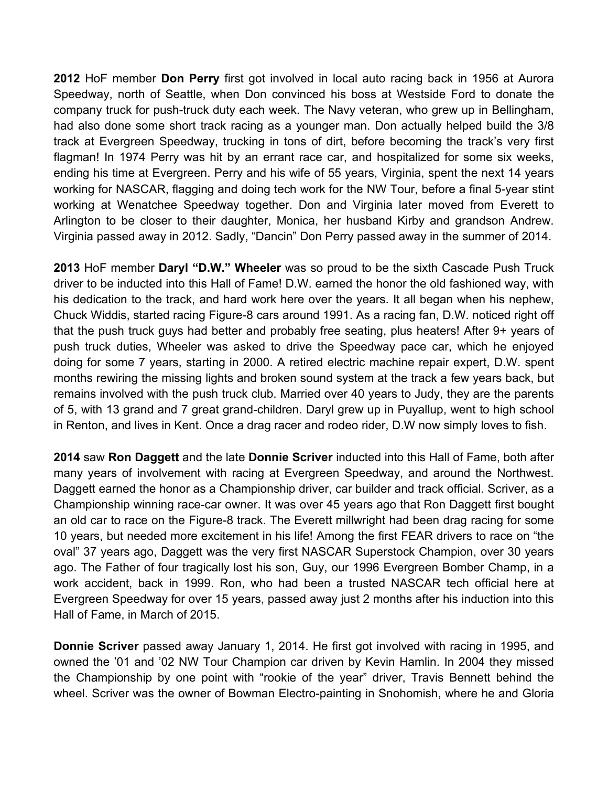**2012** HoF member **Don Perry** first got involved in local auto racing back in 1956 at Aurora Speedway, north of Seattle, when Don convinced his boss at Westside Ford to donate the company truck for push-truck duty each week. The Navy veteran, who grew up in Bellingham, had also done some short track racing as a younger man. Don actually helped build the 3/8 track at Evergreen Speedway, trucking in tons of dirt, before becoming the track's very first flagman! In 1974 Perry was hit by an errant race car, and hospitalized for some six weeks, ending his time at Evergreen. Perry and his wife of 55 years, Virginia, spent the next 14 years working for NASCAR, flagging and doing tech work for the NW Tour, before a final 5-year stint working at Wenatchee Speedway together. Don and Virginia later moved from Everett to Arlington to be closer to their daughter, Monica, her husband Kirby and grandson Andrew. Virginia passed away in 2012. Sadly, "Dancin" Don Perry passed away in the summer of 2014.

**2013** HoF member **Daryl "D.W." Wheeler** was so proud to be the sixth Cascade Push Truck driver to be inducted into this Hall of Fame! D.W. earned the honor the old fashioned way, with his dedication to the track, and hard work here over the years. It all began when his nephew, Chuck Widdis, started racing Figure-8 cars around 1991. As a racing fan, D.W. noticed right off that the push truck guys had better and probably free seating, plus heaters! After 9+ years of push truck duties, Wheeler was asked to drive the Speedway pace car, which he enjoyed doing for some 7 years, starting in 2000. A retired electric machine repair expert, D.W. spent months rewiring the missing lights and broken sound system at the track a few years back, but remains involved with the push truck club. Married over 40 years to Judy, they are the parents of 5, with 13 grand and 7 great grand-children. Daryl grew up in Puyallup, went to high school in Renton, and lives in Kent. Once a drag racer and rodeo rider, D.W now simply loves to fish.

**2014** saw **Ron Daggett** and the late **Donnie Scriver** inducted into this Hall of Fame, both after many years of involvement with racing at Evergreen Speedway, and around the Northwest. Daggett earned the honor as a Championship driver, car builder and track official. Scriver, as a Championship winning race-car owner. It was over 45 years ago that Ron Daggett first bought an old car to race on the Figure-8 track. The Everett millwright had been drag racing for some 10 years, but needed more excitement in his life! Among the first FEAR drivers to race on "the oval" 37 years ago, Daggett was the very first NASCAR Superstock Champion, over 30 years ago. The Father of four tragically lost his son, Guy, our 1996 Evergreen Bomber Champ, in a work accident, back in 1999. Ron, who had been a trusted NASCAR tech official here at Evergreen Speedway for over 15 years, passed away just 2 months after his induction into this Hall of Fame, in March of 2015.

**Donnie Scriver** passed away January 1, 2014. He first got involved with racing in 1995, and owned the '01 and '02 NW Tour Champion car driven by Kevin Hamlin. In 2004 they missed the Championship by one point with "rookie of the year" driver, Travis Bennett behind the wheel. Scriver was the owner of Bowman Electro-painting in Snohomish, where he and Gloria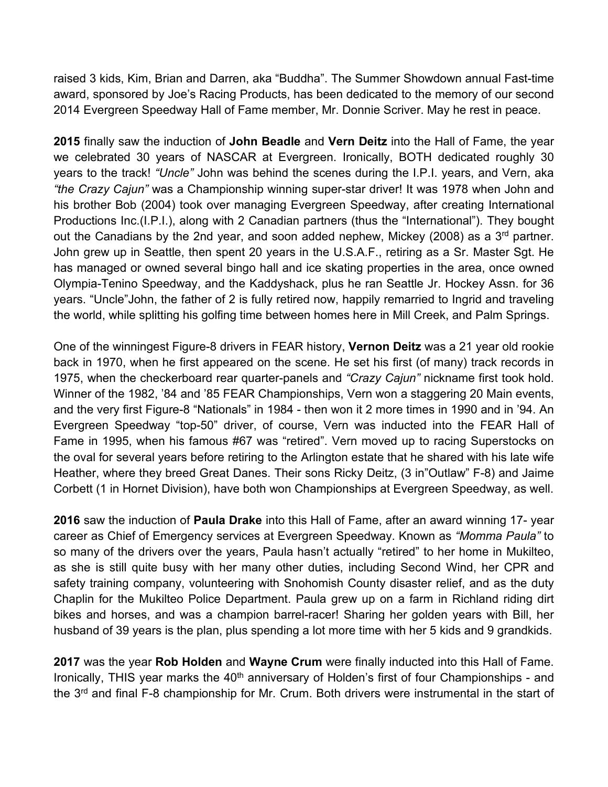raised 3 kids, Kim, Brian and Darren, aka "Buddha". The Summer Showdown annual Fast-time award, sponsored by Joe's Racing Products, has been dedicated to the memory of our second 2014 Evergreen Speedway Hall of Fame member, Mr. Donnie Scriver. May he rest in peace.

**2015** finally saw the induction of **John Beadle** and **Vern Deitz** into the Hall of Fame, the year we celebrated 30 years of NASCAR at Evergreen. Ironically, BOTH dedicated roughly 30 years to the track! *"Uncle"* John was behind the scenes during the I.P.I. years, and Vern, aka *"the Crazy Cajun"* was a Championship winning super-star driver! It was 1978 when John and his brother Bob (2004) took over managing Evergreen Speedway, after creating International Productions Inc.(I.P.I.), along with 2 Canadian partners (thus the "International"). They bought out the Canadians by the 2nd year, and soon added nephew, Mickey (2008) as a  $3<sup>rd</sup>$  partner. John grew up in Seattle, then spent 20 years in the U.S.A.F., retiring as a Sr. Master Sgt. He has managed or owned several bingo hall and ice skating properties in the area, once owned Olympia-Tenino Speedway, and the Kaddyshack, plus he ran Seattle Jr. Hockey Assn. for 36 years. "Uncle"John, the father of 2 is fully retired now, happily remarried to Ingrid and traveling the world, while splitting his golfing time between homes here in Mill Creek, and Palm Springs.

One of the winningest Figure-8 drivers in FEAR history, **Vernon Deitz** was a 21 year old rookie back in 1970, when he first appeared on the scene. He set his first (of many) track records in 1975, when the checkerboard rear quarter-panels and *"Crazy Cajun"* nickname first took hold. Winner of the 1982, '84 and '85 FEAR Championships, Vern won a staggering 20 Main events, and the very first Figure-8 "Nationals" in 1984 - then won it 2 more times in 1990 and in '94. An Evergreen Speedway "top-50" driver, of course, Vern was inducted into the FEAR Hall of Fame in 1995, when his famous #67 was "retired". Vern moved up to racing Superstocks on the oval for several years before retiring to the Arlington estate that he shared with his late wife Heather, where they breed Great Danes. Their sons Ricky Deitz, (3 in"Outlaw" F-8) and Jaime Corbett (1 in Hornet Division), have both won Championships at Evergreen Speedway, as well.

**2016** saw the induction of **Paula Drake** into this Hall of Fame, after an award winning 17- year career as Chief of Emergency services at Evergreen Speedway. Known as *"Momma Paula"* to so many of the drivers over the years, Paula hasn't actually "retired" to her home in Mukilteo, as she is still quite busy with her many other duties, including Second Wind, her CPR and safety training company, volunteering with Snohomish County disaster relief, and as the duty Chaplin for the Mukilteo Police Department. Paula grew up on a farm in Richland riding dirt bikes and horses, and was a champion barrel-racer! Sharing her golden years with Bill, her husband of 39 years is the plan, plus spending a lot more time with her 5 kids and 9 grandkids.

**2017** was the year **Rob Holden** and **Wayne Crum** were finally inducted into this Hall of Fame. Ironically, THIS year marks the 40<sup>th</sup> anniversary of Holden's first of four Championships - and the 3<sup>rd</sup> and final F-8 championship for Mr. Crum. Both drivers were instrumental in the start of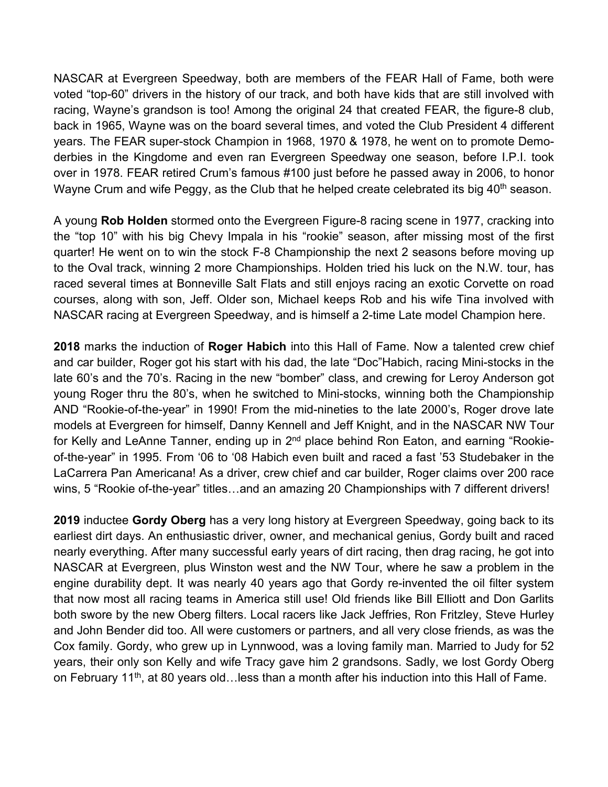NASCAR at Evergreen Speedway, both are members of the FEAR Hall of Fame, both were voted "top-60" drivers in the history of our track, and both have kids that are still involved with racing, Wayne's grandson is too! Among the original 24 that created FEAR, the figure-8 club, back in 1965, Wayne was on the board several times, and voted the Club President 4 different years. The FEAR super-stock Champion in 1968, 1970 & 1978, he went on to promote Demoderbies in the Kingdome and even ran Evergreen Speedway one season, before I.P.I. took over in 1978. FEAR retired Crum's famous #100 just before he passed away in 2006, to honor Wayne Crum and wife Peggy, as the Club that he helped create celebrated its big 40<sup>th</sup> season.

A young **Rob Holden** stormed onto the Evergreen Figure-8 racing scene in 1977, cracking into the "top 10" with his big Chevy Impala in his "rookie" season, after missing most of the first quarter! He went on to win the stock F-8 Championship the next 2 seasons before moving up to the Oval track, winning 2 more Championships. Holden tried his luck on the N.W. tour, has raced several times at Bonneville Salt Flats and still enjoys racing an exotic Corvette on road courses, along with son, Jeff. Older son, Michael keeps Rob and his wife Tina involved with NASCAR racing at Evergreen Speedway, and is himself a 2-time Late model Champion here.

**2018** marks the induction of **Roger Habich** into this Hall of Fame. Now a talented crew chief and car builder, Roger got his start with his dad, the late "Doc"Habich, racing Mini-stocks in the late 60's and the 70's. Racing in the new "bomber" class, and crewing for Leroy Anderson got young Roger thru the 80's, when he switched to Mini-stocks, winning both the Championship AND "Rookie-of-the-year" in 1990! From the mid-nineties to the late 2000's, Roger drove late models at Evergreen for himself, Danny Kennell and Jeff Knight, and in the NASCAR NW Tour for Kelly and LeAnne Tanner, ending up in 2<sup>nd</sup> place behind Ron Eaton, and earning "Rookieof-the-year" in 1995. From '06 to '08 Habich even built and raced a fast '53 Studebaker in the LaCarrera Pan Americana! As a driver, crew chief and car builder, Roger claims over 200 race wins, 5 "Rookie of-the-year" titles…and an amazing 20 Championships with 7 different drivers!

**2019** inductee **Gordy Oberg** has a very long history at Evergreen Speedway, going back to its earliest dirt days. An enthusiastic driver, owner, and mechanical genius, Gordy built and raced nearly everything. After many successful early years of dirt racing, then drag racing, he got into NASCAR at Evergreen, plus Winston west and the NW Tour, where he saw a problem in the engine durability dept. It was nearly 40 years ago that Gordy re-invented the oil filter system that now most all racing teams in America still use! Old friends like Bill Elliott and Don Garlits both swore by the new Oberg filters. Local racers like Jack Jeffries, Ron Fritzley, Steve Hurley and John Bender did too. All were customers or partners, and all very close friends, as was the Cox family. Gordy, who grew up in Lynnwood, was a loving family man. Married to Judy for 52 years, their only son Kelly and wife Tracy gave him 2 grandsons. Sadly, we lost Gordy Oberg on February 11<sup>th</sup>, at 80 years old...less than a month after his induction into this Hall of Fame.